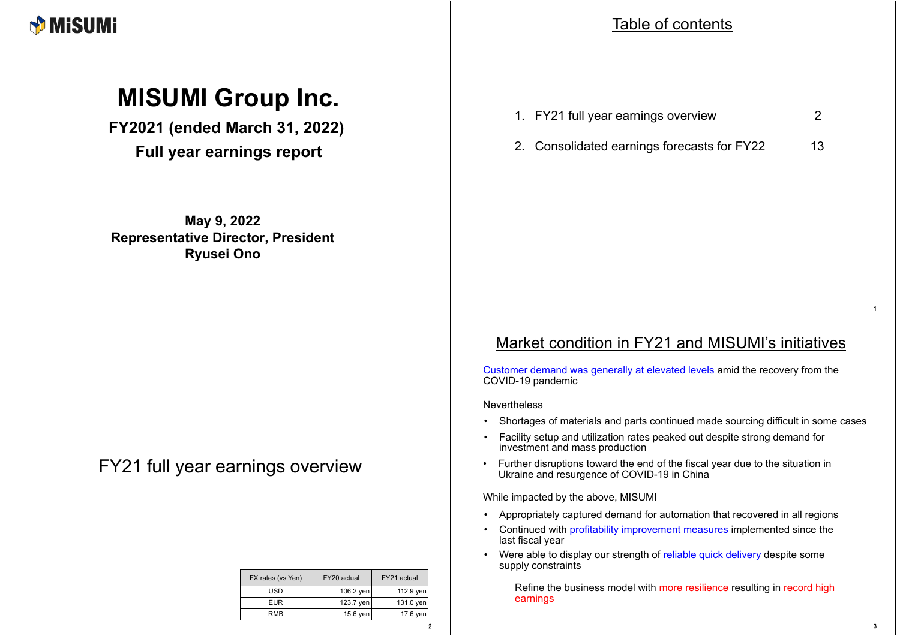

# **MISUMI Group Inc.**

**FY2021 (ended March 31, 2022) Full year earnings report**

**May 9, 2022 Representative Director, President Ryusei Ono**

## FY21 full year earnings overview

| FX rates (vs Yen) | FY20 actual | FY21 actual |  |
|-------------------|-------------|-------------|--|
| USD               | 106.2 yen   | 112.9 yen   |  |
| <b>EUR</b>        | 123.7 yen   | 131.0 yen   |  |
| RMB               | $15.6$ yen  | 17.6 yen    |  |

2

#### Table of contents

| 1. FY21 full year earnings overview                                                                                                                                                                                       | $\overline{2}$ |
|---------------------------------------------------------------------------------------------------------------------------------------------------------------------------------------------------------------------------|----------------|
| 2.<br>Consolidated earnings forecasts for FY22                                                                                                                                                                            | 13             |
|                                                                                                                                                                                                                           |                |
|                                                                                                                                                                                                                           |                |
|                                                                                                                                                                                                                           |                |
|                                                                                                                                                                                                                           |                |
|                                                                                                                                                                                                                           |                |
|                                                                                                                                                                                                                           |                |
| Market condition in FY21 and MISUMI's initiatives<br>Customer demand was generally at elevated levels amid the recovery from the<br>COVID-19 pandemic                                                                     |                |
| <b>Nevertheless</b>                                                                                                                                                                                                       |                |
| Shortages of materials and parts continued made sourcing difficult in some cases<br>$\bullet$<br>Facility setup and utilization rates peaked out despite strong demand for<br>$\bullet$<br>investment and mass production |                |
| Further disruptions toward the end of the fiscal year due to the situation in<br>$\bullet$<br>Ukraine and resurgence of COVID-19 in China                                                                                 |                |
| While impacted by the above, MISUMI                                                                                                                                                                                       |                |
| Appropriately captured demand for automation that recovered in all regions<br>$\bullet$                                                                                                                                   |                |
| Continued with profitability improvement measures implemented since the<br>$\bullet$<br>last fiscal year                                                                                                                  |                |
| Were able to display our strength of reliable quick delivery despite some<br>$\bullet$<br>supply constraints                                                                                                              |                |
| Refine the business model with more resilience resulting in record high<br>earnings                                                                                                                                       |                |

1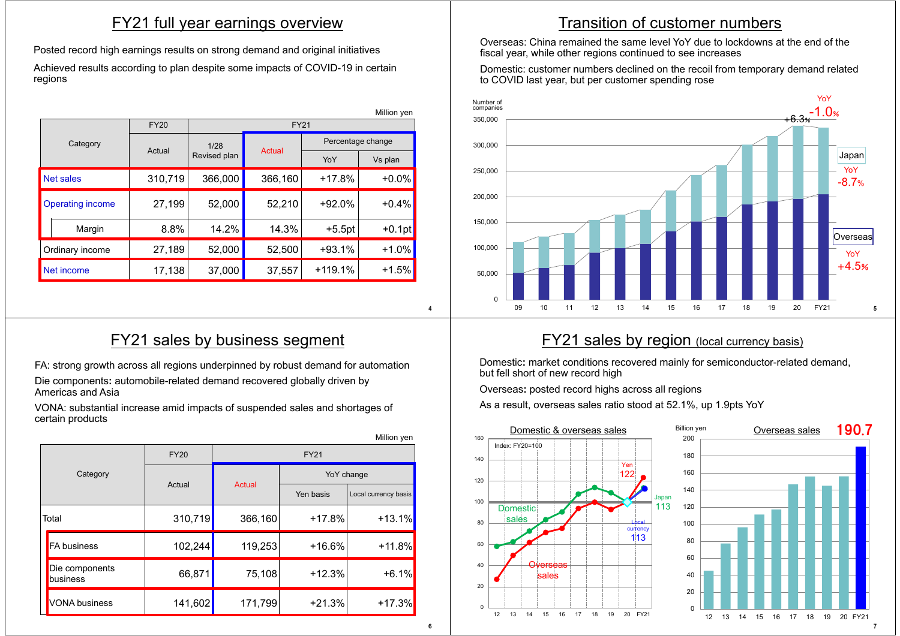#### FY21 full year earnings overview

Posted record high earnings results on strong demand and original initiatives

Achieved results according to plan despite some impacts of COVID-19 in certain regions

|                         | Million yen |             |                                |         |                   |          |  |
|-------------------------|-------------|-------------|--------------------------------|---------|-------------------|----------|--|
|                         |             | <b>FY20</b> | <b>FY21</b>                    |         |                   |          |  |
|                         | Category    |             | 1/28<br>Actual<br>Revised plan |         | Percentage change |          |  |
|                         |             | Actual      |                                | YoY     | Vs plan           |          |  |
| Net sales               |             | 310,719     | 366,000                        | 366,160 | $+17.8%$          | $+0.0%$  |  |
| <b>Operating income</b> |             | 27,199      | 52,000                         | 52,210  | $+92.0%$          | $+0.4%$  |  |
|                         | Margin      | 8.8%        | 14.2%                          | 14.3%   | $+5.5pt$          | $+0.1pt$ |  |
| Ordinary income         |             | 27,189      | 52,000                         | 52,500  | $+93.1%$          | $+1.0%$  |  |
| Net income              |             | 17,138      | 37,000                         | 37,557  | $+119.1%$         | $+1.5%$  |  |

## FY21 sales by business segment

FA: strong growth across all regions underpinned by robust demand for automation

Die components**:** automobile-related demand recovered globally driven by Americas and Asia

VONA: substantial increase amid impacts of suspended sales and shortages of certain products

|          |                            |             |             |            | Million yen          |  |
|----------|----------------------------|-------------|-------------|------------|----------------------|--|
|          |                            | <b>FY20</b> | <b>FY21</b> |            |                      |  |
| Category |                            | Actual      | Actual      | YoY change |                      |  |
|          |                            |             |             | Yen basis  | Local currency basis |  |
|          | Total                      | 310,719     | 366,160     | $+17.8%$   | $+13.1%$             |  |
|          | <b>FA</b> business         | 102,244     | 119,253     | $+16.6%$   | $+11.8%$             |  |
|          | Die components<br>business | 66,871      | 75,108      | $+12.3%$   | $+6.1%$              |  |
|          | <b>VONA</b> business       | 141,602     | 171,799     | $+21.3%$   | $+17.3%$             |  |

## Transition of customer numbers

Overseas: China remained the same level YoY due to lockdowns at the end of the fiscal year, while other regions continued to see increases

Domestic: customer numbers declined on the recoil from temporary demand related to COVID last year, but per customer spending rose



### **FY21 sales by region** (local currency basis)

Domestic**:** market conditions recovered mainly for semiconductor-related demand, but fell short of new record high

Overseas**:** posted record highs across all regions

As a result, overseas sales ratio stood at 52.1%, up 1.9pts YoY



 $\overline{A}$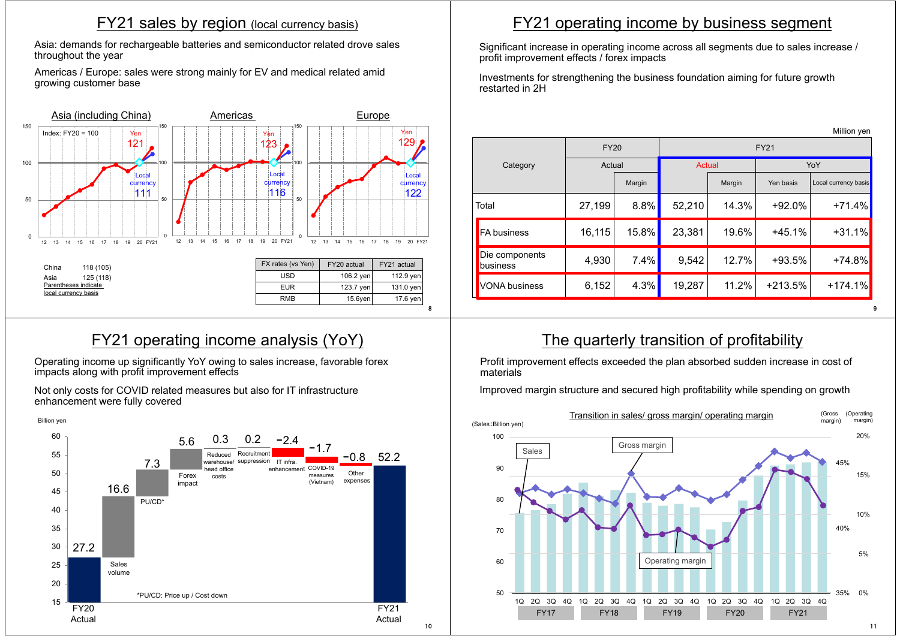#### FY21 sales by region (local currency basis)

Asia: demands for rechargeable batteries and semiconductor related drove sales throughout the year

Americas / Europe: sales were strong mainly for EV and medical related amid growing customer base



## FY21 operating income analysis (YoY)

Operating income up significantly YoY owing to sales increase, favorable forex impacts along with profit improvement effects

Not only costs for COVID related measures but also for IT infrastructure enhancement were fully covered



## FY21 operating income by business segment

Significant increase in operating income across all segments due to sales increase / profit improvement effects / forex impacts

Investments for strengthening the business foundation aiming for future growth restarted in 2H

|                            |             |        |             |        |           | Million yen          |
|----------------------------|-------------|--------|-------------|--------|-----------|----------------------|
|                            | <b>FY20</b> |        | <b>FY21</b> |        |           |                      |
| Category                   | Actual      |        | Actual      |        | YoY       |                      |
|                            |             | Margin |             | Margin | Yen basis | Local currency basis |
| Total                      | 27,199      | 8.8%   | 52,210      | 14.3%  | $+92.0%$  | $+71.4%$             |
| <b>FA business</b>         | 16,115      | 15.8%  | 23,381      | 19.6%  | $+45.1%$  | $+31.1%$             |
| Die components<br>business | 4,930       | 7.4%   | 9,542       | 12.7%  | $+93.5%$  | $+74.8%$             |
| <b>VONA</b> business       | 6,152       | 4.3%   | 19,287      | 11.2%  | $+213.5%$ | $+174.1%$            |
|                            |             |        |             |        |           |                      |

### The quarterly transition of profitability

Profit improvement effects exceeded the plan absorbed sudden increase in cost of materials

Improved margin structure and secured high profitability while spending on growth



10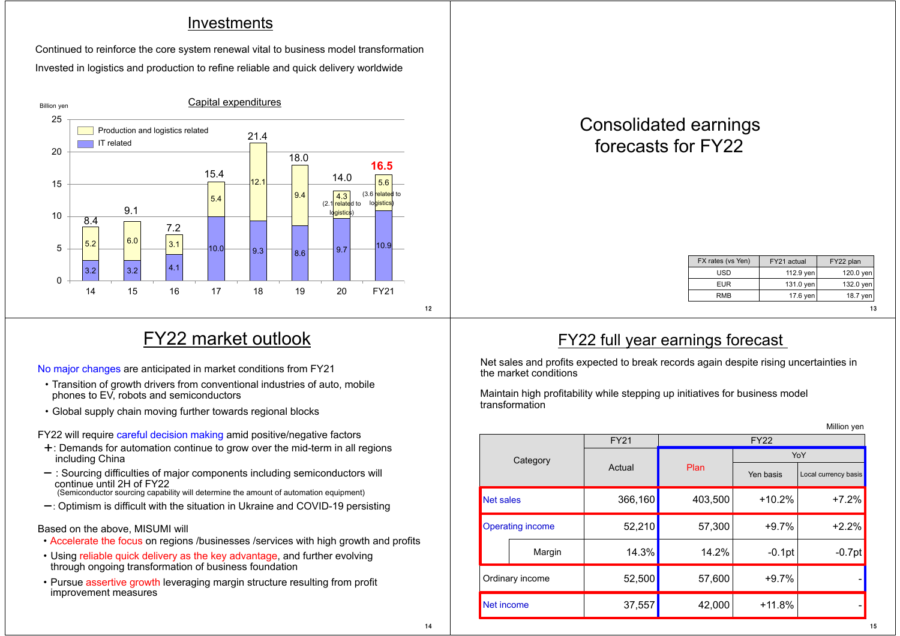#### **Investments**

Invested in logistics and production to refine reliable and quick delivery worldwide Continued to reinforce the core system renewal vital to business model transformation



## Consolidated earnings forecasts for FY22

| FX rates (vs Yen) | FY21 actual | FY22 plan |
|-------------------|-------------|-----------|
| USD               | 112.9 yen   | 120.0 yen |
| <b>EUR</b>        | $131.0$ yen | 132.0 yen |
| RMB               | 17.6 yen    | 18.7 yen  |
|                   |             | 13        |

15

## FY22 market outlook

No major changes are anticipated in market conditions from FY21

- ・ Transition of growth drivers from conventional industries of auto, mobile phones to EV, robots and semiconductors
- ・ Global supply chain moving further towards regional blocks

FY22 will require careful decision making amid positive/negative factors

- +: Demands for automation continue to grow over the mid-term in all regions including China
- $-$ : Sourcing difficulties of major components including semiconductors will continue until 2H of FY22 (Semiconductor sourcing capability will determine the amount of automation equipment)
- $-$ : Optimism is difficult with the situation in Ukraine and COVID-19 persisting

#### Based on the above, MISUMI will

- ・ Accelerate the focus on regions /businesses /services with high growth and profits
- Using reliable quick delivery as the key advantage, and further evolving through ongoing transformation of business foundation
- ・ Pursue assertive growth leveraging margin structure resulting from profit improvement measures

#### FY22 full year earnings forecast

Net sales and profits expected to break records again despite rising uncertainties in the market conditions

Maintain high profitability while stepping up initiatives for business model transformation

| Million yen             |          |                            |         |           |                      |  |
|-------------------------|----------|----------------------------|---------|-----------|----------------------|--|
|                         |          | <b>FY21</b><br><b>FY22</b> |         |           |                      |  |
|                         | Category |                            |         | YoY       |                      |  |
|                         |          | Actual                     | Plan    | Yen basis | Local currency basis |  |
| Net sales               |          | 366,160                    | 403,500 | $+10.2%$  | $+7.2%$              |  |
| <b>Operating income</b> |          | 52,210                     | 57,300  | $+9.7%$   | $+2.2%$              |  |
|                         | Margin   | 14.3%                      | 14.2%   | $-0.1$ pt | $-0.7$ pt            |  |
| Ordinary income         |          | 52,500                     | 57,600  | $+9.7%$   |                      |  |
| Net income              |          | 37,557                     | 42,000  | $+11.8%$  |                      |  |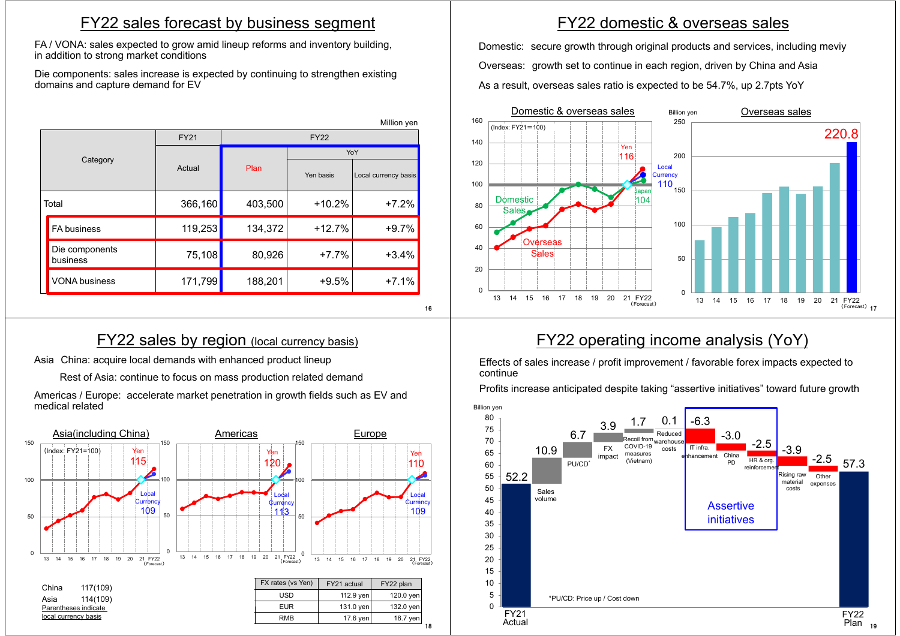#### FY22 sales forecast by business segment

FA / VONA: sales expected to grow amid lineup reforms and inventory building, in addition to strong market conditions

Die components: sales increase is expected by continuing to strengthen existing domains and capture demand for EV

|                            |             |             |           | Million yen          |  |
|----------------------------|-------------|-------------|-----------|----------------------|--|
|                            | <b>FY21</b> | <b>FY22</b> |           |                      |  |
|                            | Actual      | Plan        | YoY       |                      |  |
| Category                   |             |             | Yen basis | Local currency basis |  |
| Total                      | 366,160     | 403,500     | $+10.2%$  | $+7.2%$              |  |
| <b>FA business</b>         | 119,253     | 134,372     | $+12.7%$  | $+9.7%$              |  |
| Die components<br>business | 75,108      | 80,926      | $+7.7%$   | $+3.4%$              |  |
| <b>VONA business</b>       | 171,799     | 188,201     | $+9.5%$   | $+7.1%$              |  |

#### **FY22 sales by region (local currency basis)**

16

Asia China: acquire local demands with enhanced product lineup

Rest of Asia: continue to focus on mass production related demand

Americas / Europe: accelerate market penetration in growth fields such as EV and medical related



## FY22 domestic & overseas sales

Domestic: secure growth through original products and services, including meviy Overseas: growth set to continue in each region, driven by China and Asia As a result, overseas sales ratio is expected to be 54.7%, up 2.7pts YoY



## FY22 operating income analysis (YoY)

Effects of sales increase / profit improvement / favorable forex impacts expected to continue

Profits increase anticipated despite taking "assertive initiatives" toward future growth